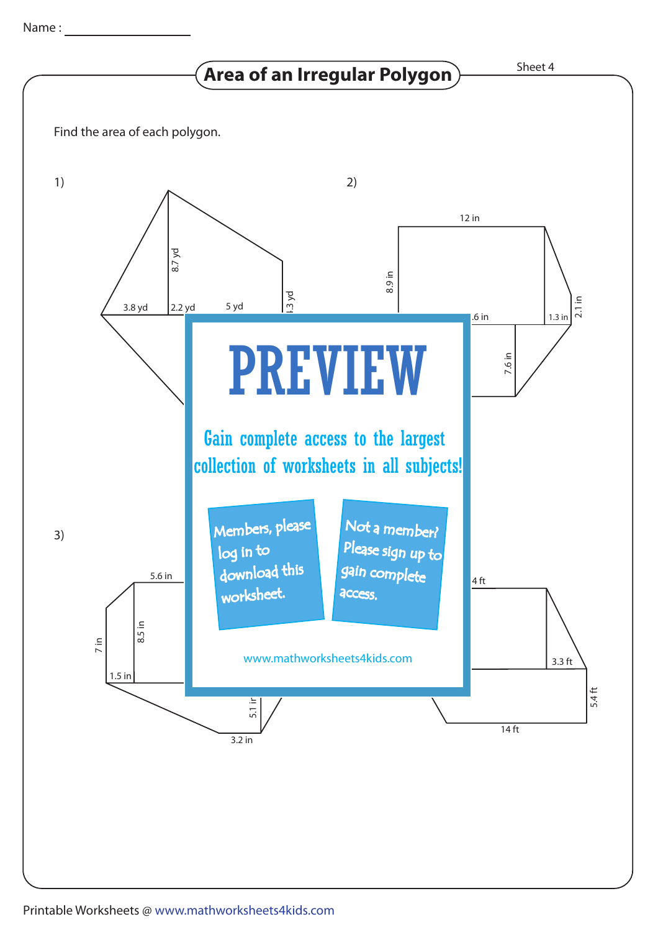